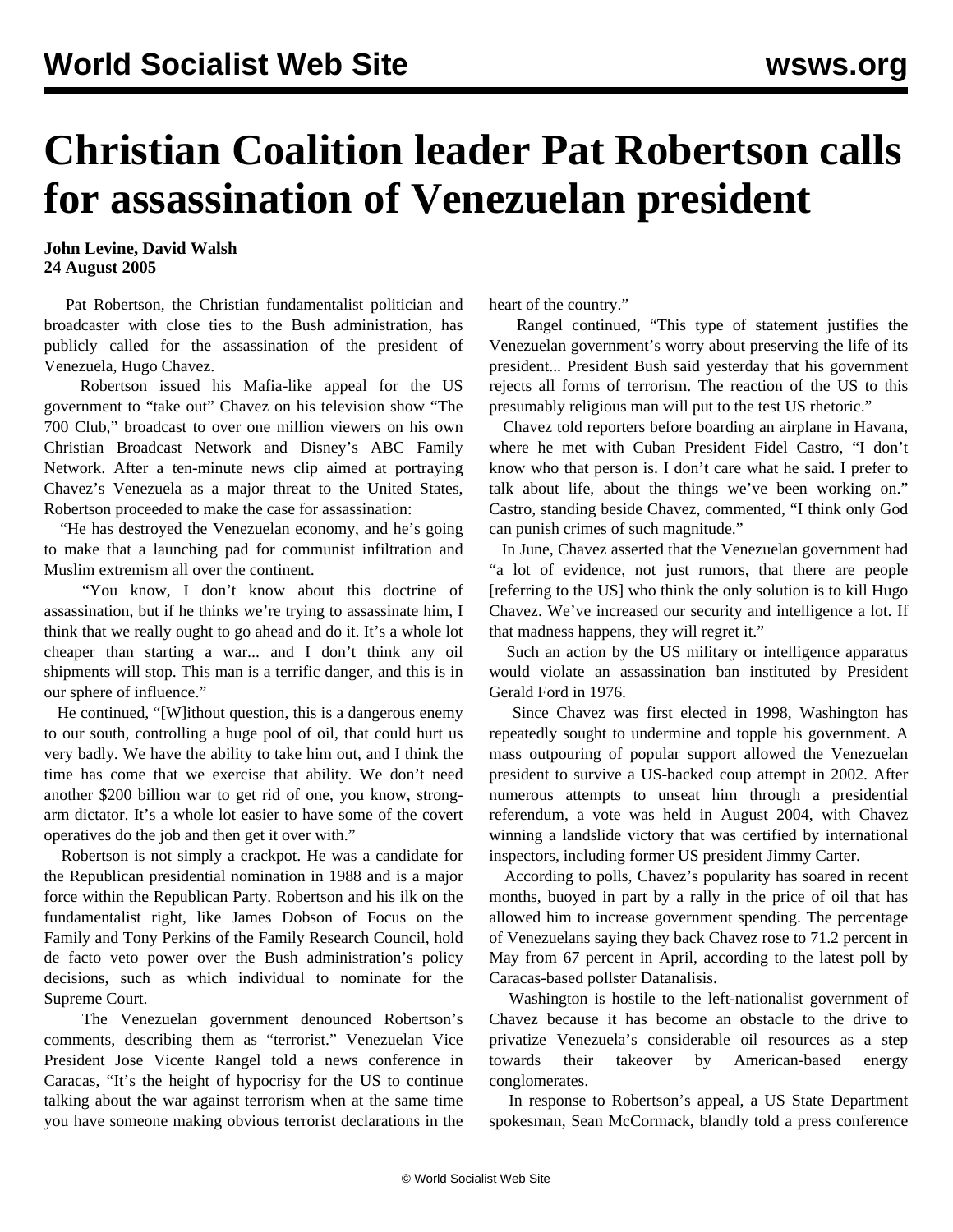## **Christian Coalition leader Pat Robertson calls for assassination of Venezuelan president**

## **John Levine, David Walsh 24 August 2005**

 Pat Robertson, the Christian fundamentalist politician and broadcaster with close ties to the Bush administration, has publicly called for the assassination of the president of Venezuela, Hugo Chavez.

 Robertson issued his Mafia-like appeal for the US government to "take out" Chavez on his television show "The 700 Club," broadcast to over one million viewers on his own Christian Broadcast Network and Disney's ABC Family Network. After a ten-minute news clip aimed at portraying Chavez's Venezuela as a major threat to the United States, Robertson proceeded to make the case for assassination:

 "He has destroyed the Venezuelan economy, and he's going to make that a launching pad for communist infiltration and Muslim extremism all over the continent.

 "You know, I don't know about this doctrine of assassination, but if he thinks we're trying to assassinate him, I think that we really ought to go ahead and do it. It's a whole lot cheaper than starting a war... and I don't think any oil shipments will stop. This man is a terrific danger, and this is in our sphere of influence."

 He continued, "[W]ithout question, this is a dangerous enemy to our south, controlling a huge pool of oil, that could hurt us very badly. We have the ability to take him out, and I think the time has come that we exercise that ability. We don't need another \$200 billion war to get rid of one, you know, strongarm dictator. It's a whole lot easier to have some of the covert operatives do the job and then get it over with."

 Robertson is not simply a crackpot. He was a candidate for the Republican presidential nomination in 1988 and is a major force within the Republican Party. Robertson and his ilk on the fundamentalist right, like James Dobson of Focus on the Family and Tony Perkins of the Family Research Council, hold de facto veto power over the Bush administration's policy decisions, such as which individual to nominate for the Supreme Court.

 The Venezuelan government denounced Robertson's comments, describing them as "terrorist." Venezuelan Vice President Jose Vicente Rangel told a news conference in Caracas, "It's the height of hypocrisy for the US to continue talking about the war against terrorism when at the same time you have someone making obvious terrorist declarations in the

heart of the country."

 Rangel continued, "This type of statement justifies the Venezuelan government's worry about preserving the life of its president... President Bush said yesterday that his government rejects all forms of terrorism. The reaction of the US to this presumably religious man will put to the test US rhetoric."

 Chavez told reporters before boarding an airplane in Havana, where he met with Cuban President Fidel Castro, "I don't know who that person is. I don't care what he said. I prefer to talk about life, about the things we've been working on." Castro, standing beside Chavez, commented, "I think only God can punish crimes of such magnitude."

 In June, Chavez asserted that the Venezuelan government had "a lot of evidence, not just rumors, that there are people [referring to the US] who think the only solution is to kill Hugo Chavez. We've increased our security and intelligence a lot. If that madness happens, they will regret it."

 Such an action by the US military or intelligence apparatus would violate an assassination ban instituted by President Gerald Ford in 1976.

 Since Chavez was first elected in 1998, Washington has repeatedly sought to undermine and topple his government. A mass outpouring of popular support allowed the Venezuelan president to survive a US-backed coup attempt in 2002. After numerous attempts to unseat him through a presidential referendum, a vote was held in August 2004, with Chavez winning a landslide victory that was certified by international inspectors, including former US president Jimmy Carter.

 According to polls, Chavez's popularity has soared in recent months, buoyed in part by a rally in the price of oil that has allowed him to increase government spending. The percentage of Venezuelans saying they back Chavez rose to 71.2 percent in May from 67 percent in April, according to the latest poll by Caracas-based pollster Datanalisis.

 Washington is hostile to the left-nationalist government of Chavez because it has become an obstacle to the drive to privatize Venezuela's considerable oil resources as a step towards their takeover by American-based energy conglomerates.

 In response to Robertson's appeal, a US State Department spokesman, Sean McCormack, blandly told a press conference